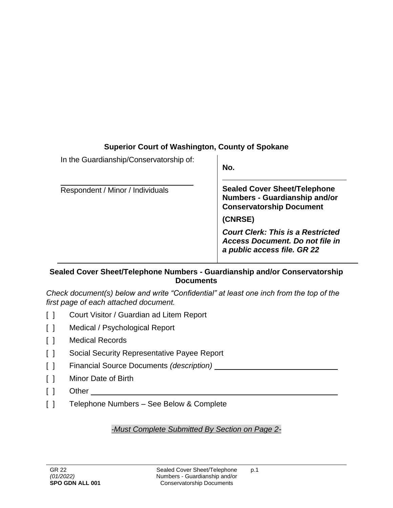## **Superior Court of Washington, County of Spokane**

| In the Guardianship/Conservatorship of: | No.                                                                                                               |
|-----------------------------------------|-------------------------------------------------------------------------------------------------------------------|
| Respondent / Minor / Individuals        | <b>Sealed Cover Sheet/Telephone</b><br>Numbers - Guardianship and/or<br><b>Conservatorship Document</b>           |
|                                         | (CNRSE)                                                                                                           |
|                                         | <b>Court Clerk: This is a Restricted</b><br><b>Access Document. Do not file in</b><br>a public access file. GR 22 |
|                                         |                                                                                                                   |

## **Sealed Cover Sheet/Telephone Numbers - Guardianship and/or Conservatorship Documents**

*Check document(s) below and write "Confidential" at least one inch from the top of the first page of each attached document.*

- [ ] Court Visitor / Guardian ad Litem Report
- [ ] Medical / Psychological Report
- [ ] Medical Records
- [ ] Social Security Representative Payee Report
- [ ] Financial Source Documents *(description)*
- [ ] Minor Date of Birth
- [ ] Other
- [ ] Telephone Numbers See Below & Complete

*-Must Complete Submitted By Section on Page 2-*